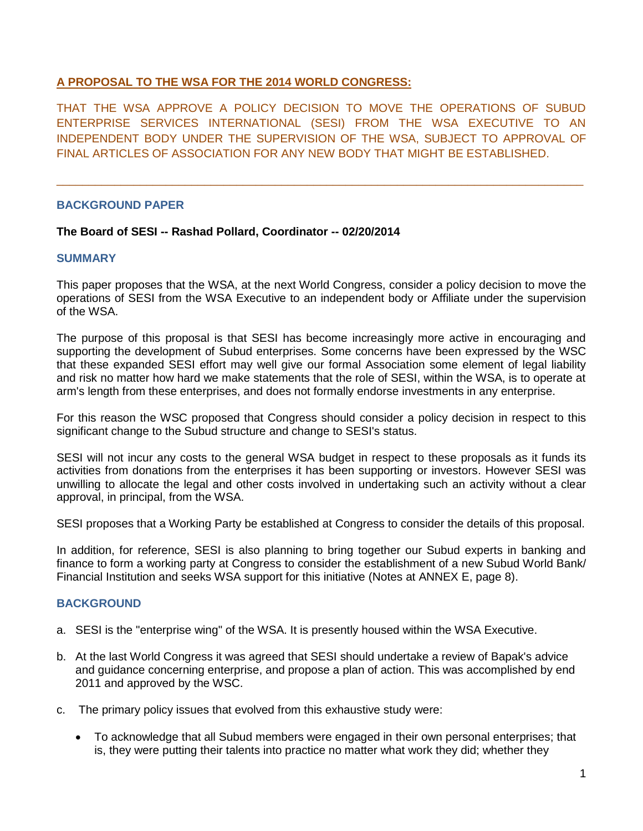# **A PROPOSAL TO THE WSA FOR THE 2014 WORLD CONGRESS:**

THAT THE WSA APPROVE A POLICY DECISION TO MOVE THE OPERATIONS OF SUBUD ENTERPRISE SERVICES INTERNATIONAL (SESI) FROM THE WSA EXECUTIVE TO AN INDEPENDENT BODY UNDER THE SUPERVISION OF THE WSA, SUBJECT TO APPROVAL OF FINAL ARTICLES OF ASSOCIATION FOR ANY NEW BODY THAT MIGHT BE ESTABLISHED.

\_\_\_\_\_\_\_\_\_\_\_\_\_\_\_\_\_\_\_\_\_\_\_\_\_\_\_\_\_\_\_\_\_\_\_\_\_\_\_\_\_\_\_\_\_\_\_\_\_\_\_\_\_\_\_\_\_\_\_\_\_\_\_\_\_\_\_\_\_\_\_\_\_\_\_\_\_\_\_\_\_\_

# **BACKGROUND PAPER**

# **The Board of SESI -- Rashad Pollard, Coordinator -- 02/20/2014**

# **SUMMARY**

This paper proposes that the WSA, at the next World Congress, consider a policy decision to move the operations of SESI from the WSA Executive to an independent body or Affiliate under the supervision of the WSA.

The purpose of this proposal is that SESI has become increasingly more active in encouraging and supporting the development of Subud enterprises. Some concerns have been expressed by the WSC that these expanded SESI effort may well give our formal Association some element of legal liability and risk no matter how hard we make statements that the role of SESI, within the WSA, is to operate at arm's length from these enterprises, and does not formally endorse investments in any enterprise.

For this reason the WSC proposed that Congress should consider a policy decision in respect to this significant change to the Subud structure and change to SESI's status.

SESI will not incur any costs to the general WSA budget in respect to these proposals as it funds its activities from donations from the enterprises it has been supporting or investors. However SESI was unwilling to allocate the legal and other costs involved in undertaking such an activity without a clear approval, in principal, from the WSA.

SESI proposes that a Working Party be established at Congress to consider the details of this proposal.

In addition, for reference, SESI is also planning to bring together our Subud experts in banking and finance to form a working party at Congress to consider the establishment of a new Subud World Bank/ Financial Institution and seeks WSA support for this initiative (Notes at ANNEX E, page 8).

# **BACKGROUND**

- a. SESI is the "enterprise wing" of the WSA. It is presently housed within the WSA Executive.
- b. At the last World Congress it was agreed that SESI should undertake a review of Bapak's advice and guidance concerning enterprise, and propose a plan of action. This was accomplished by end 2011 and approved by the WSC.
- c. The primary policy issues that evolved from this exhaustive study were:
	- To acknowledge that all Subud members were engaged in their own personal enterprises; that is, they were putting their talents into practice no matter what work they did; whether they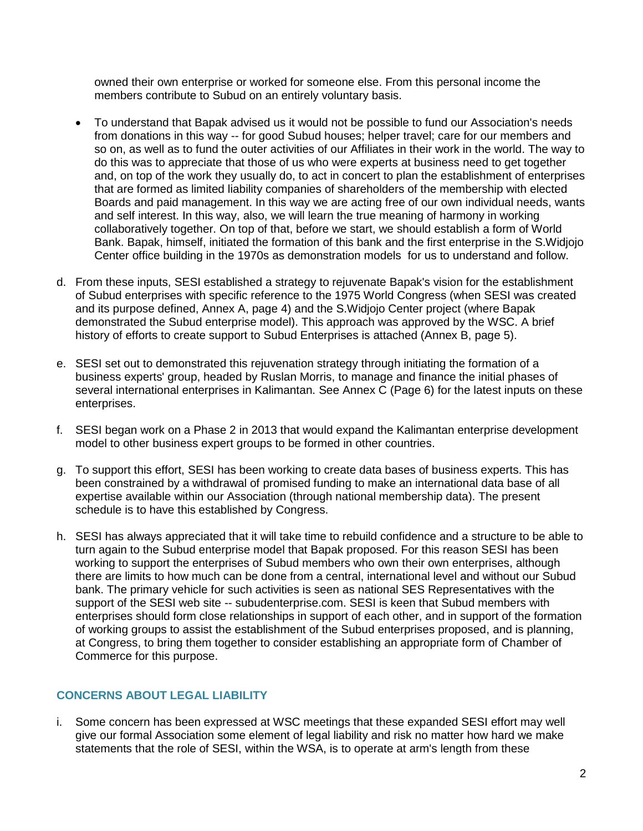owned their own enterprise or worked for someone else. From this personal income the members contribute to Subud on an entirely voluntary basis.

- To understand that Bapak advised us it would not be possible to fund our Association's needs from donations in this way -- for good Subud houses; helper travel; care for our members and so on, as well as to fund the outer activities of our Affiliates in their work in the world. The way to do this was to appreciate that those of us who were experts at business need to get together and, on top of the work they usually do, to act in concert to plan the establishment of enterprises that are formed as limited liability companies of shareholders of the membership with elected Boards and paid management. In this way we are acting free of our own individual needs, wants and self interest. In this way, also, we will learn the true meaning of harmony in working collaboratively together. On top of that, before we start, we should establish a form of World Bank. Bapak, himself, initiated the formation of this bank and the first enterprise in the S.Widjojo Center office building in the 1970s as demonstration models for us to understand and follow.
- d. From these inputs, SESI established a strategy to rejuvenate Bapak's vision for the establishment of Subud enterprises with specific reference to the 1975 World Congress (when SESI was created and its purpose defined, Annex A, page 4) and the S.Widjojo Center project (where Bapak demonstrated the Subud enterprise model). This approach was approved by the WSC. A brief history of efforts to create support to Subud Enterprises is attached (Annex B, page 5).
- e. SESI set out to demonstrated this rejuvenation strategy through initiating the formation of a business experts' group, headed by Ruslan Morris, to manage and finance the initial phases of several international enterprises in Kalimantan. See Annex C (Page 6) for the latest inputs on these enterprises.
- f. SESI began work on a Phase 2 in 2013 that would expand the Kalimantan enterprise development model to other business expert groups to be formed in other countries.
- g. To support this effort, SESI has been working to create data bases of business experts. This has been constrained by a withdrawal of promised funding to make an international data base of all expertise available within our Association (through national membership data). The present schedule is to have this established by Congress.
- h. SESI has always appreciated that it will take time to rebuild confidence and a structure to be able to turn again to the Subud enterprise model that Bapak proposed. For this reason SESI has been working to support the enterprises of Subud members who own their own enterprises, although there are limits to how much can be done from a central, international level and without our Subud bank. The primary vehicle for such activities is seen as national SES Representatives with the support of the SESI web site -- subudenterprise.com. SESI is keen that Subud members with enterprises should form close relationships in support of each other, and in support of the formation of working groups to assist the establishment of the Subud enterprises proposed, and is planning, at Congress, to bring them together to consider establishing an appropriate form of Chamber of Commerce for this purpose.

# **CONCERNS ABOUT LEGAL LIABILITY**

i. Some concern has been expressed at WSC meetings that these expanded SESI effort may well give our formal Association some element of legal liability and risk no matter how hard we make statements that the role of SESI, within the WSA, is to operate at arm's length from these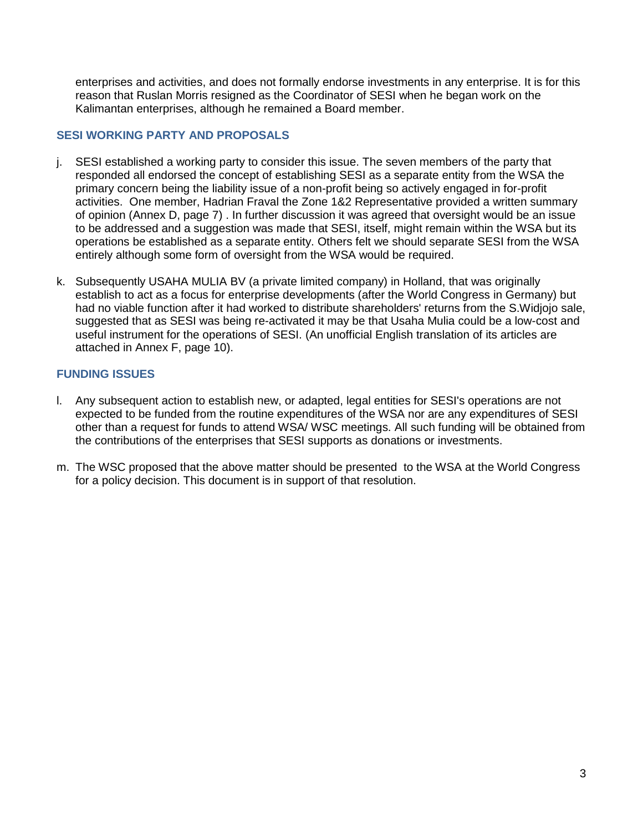enterprises and activities, and does not formally endorse investments in any enterprise. It is for this reason that Ruslan Morris resigned as the Coordinator of SESI when he began work on the Kalimantan enterprises, although he remained a Board member.

# **SESI WORKING PARTY AND PROPOSALS**

- j. SESI established a working party to consider this issue. The seven members of the party that responded all endorsed the concept of establishing SESI as a separate entity from the WSA the primary concern being the liability issue of a non-profit being so actively engaged in for-profit activities. One member, Hadrian Fraval the Zone 1&2 Representative provided a written summary of opinion (Annex D, page 7) . In further discussion it was agreed that oversight would be an issue to be addressed and a suggestion was made that SESI, itself, might remain within the WSA but its operations be established as a separate entity. Others felt we should separate SESI from the WSA entirely although some form of oversight from the WSA would be required.
- k. Subsequently USAHA MULIA BV (a private limited company) in Holland, that was originally establish to act as a focus for enterprise developments (after the World Congress in Germany) but had no viable function after it had worked to distribute shareholders' returns from the S.Widjojo sale, suggested that as SESI was being re-activated it may be that Usaha Mulia could be a low-cost and useful instrument for the operations of SESI. (An unofficial English translation of its articles are attached in Annex F, page 10).

# **FUNDING ISSUES**

- l. Any subsequent action to establish new, or adapted, legal entities for SESI's operations are not expected to be funded from the routine expenditures of the WSA nor are any expenditures of SESI other than a request for funds to attend WSA/ WSC meetings. All such funding will be obtained from the contributions of the enterprises that SESI supports as donations or investments.
- m. The WSC proposed that the above matter should be presented to the WSA at the World Congress for a policy decision. This document is in support of that resolution.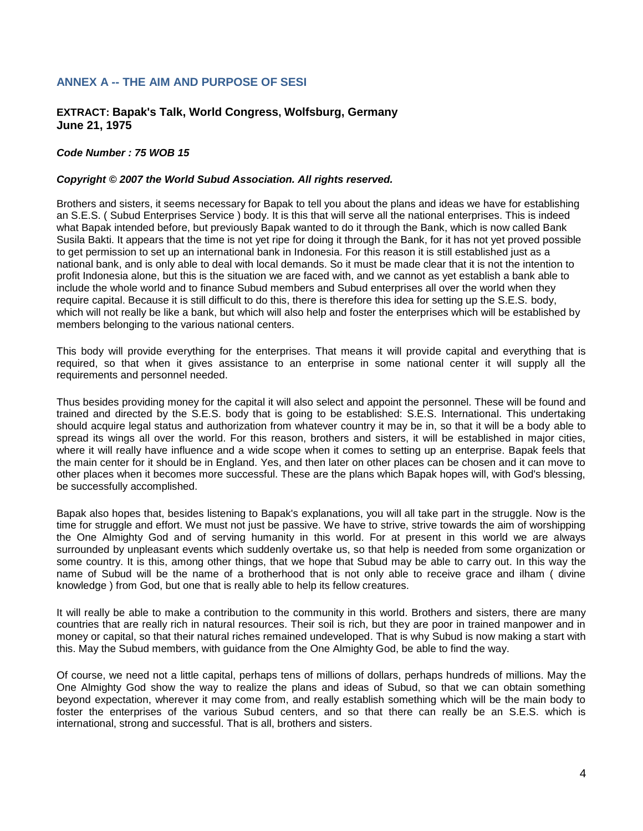# **ANNEX A -- THE AIM AND PURPOSE OF SESI**

# **EXTRACT: Bapak's Talk, World Congress, Wolfsburg, Germany June 21, 1975**

#### *Code Number : 75 WOB 15*

#### *Copyright © 2007 the World Subud Association. All rights reserved.*

Brothers and sisters, it seems necessary for Bapak to tell you about the plans and ideas we have for establishing an S.E.S. ( Subud Enterprises Service ) body. It is this that will serve all the national enterprises. This is indeed what Bapak intended before, but previously Bapak wanted to do it through the Bank, which is now called Bank Susila Bakti. It appears that the time is not yet ripe for doing it through the Bank, for it has not yet proved possible to get permission to set up an international bank in Indonesia. For this reason it is still established just as a national bank, and is only able to deal with local demands. So it must be made clear that it is not the intention to profit Indonesia alone, but this is the situation we are faced with, and we cannot as yet establish a bank able to include the whole world and to finance Subud members and Subud enterprises all over the world when they require capital. Because it is still difficult to do this, there is therefore this idea for setting up the S.E.S. body, which will not really be like a bank, but which will also help and foster the enterprises which will be established by members belonging to the various national centers.

This body will provide everything for the enterprises. That means it will provide capital and everything that is required, so that when it gives assistance to an enterprise in some national center it will supply all the requirements and personnel needed.

Thus besides providing money for the capital it will also select and appoint the personnel. These will be found and trained and directed by the S.E.S. body that is going to be established: S.E.S. International. This undertaking should acquire legal status and authorization from whatever country it may be in, so that it will be a body able to spread its wings all over the world. For this reason, brothers and sisters, it will be established in major cities, where it will really have influence and a wide scope when it comes to setting up an enterprise. Bapak feels that the main center for it should be in England. Yes, and then later on other places can be chosen and it can move to other places when it becomes more successful. These are the plans which Bapak hopes will, with God's blessing, be successfully accomplished.

Bapak also hopes that, besides listening to Bapak's explanations, you will all take part in the struggle. Now is the time for struggle and effort. We must not just be passive. We have to strive, strive towards the aim of worshipping the One Almighty God and of serving humanity in this world. For at present in this world we are always surrounded by unpleasant events which suddenly overtake us, so that help is needed from some organization or some country. It is this, among other things, that we hope that Subud may be able to carry out. In this way the name of Subud will be the name of a brotherhood that is not only able to receive grace and ilham ( divine knowledge ) from God, but one that is really able to help its fellow creatures.

It will really be able to make a contribution to the community in this world. Brothers and sisters, there are many countries that are really rich in natural resources. Their soil is rich, but they are poor in trained manpower and in money or capital, so that their natural riches remained undeveloped. That is why Subud is now making a start with this. May the Subud members, with guidance from the One Almighty God, be able to find the way.

Of course, we need not a little capital, perhaps tens of millions of dollars, perhaps hundreds of millions. May the One Almighty God show the way to realize the plans and ideas of Subud, so that we can obtain something beyond expectation, wherever it may come from, and really establish something which will be the main body to foster the enterprises of the various Subud centers, and so that there can really be an S.E.S. which is international, strong and successful. That is all, brothers and sisters.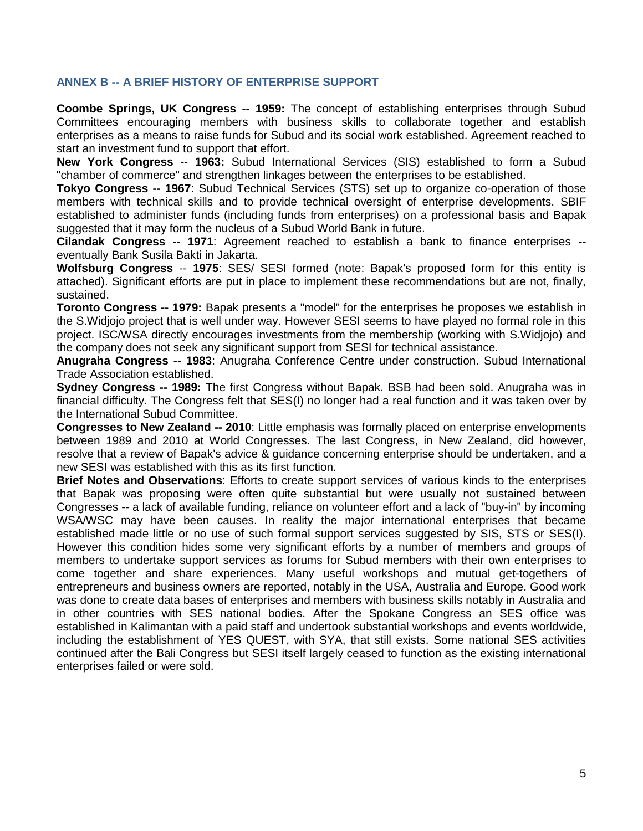# **ANNEX B -- A BRIEF HISTORY OF ENTERPRISE SUPPORT**

**Coombe Springs, UK Congress -- 1959:** The concept of establishing enterprises through Subud Committees encouraging members with business skills to collaborate together and establish enterprises as a means to raise funds for Subud and its social work established. Agreement reached to start an investment fund to support that effort.

**New York Congress -- 1963:** Subud International Services (SIS) established to form a Subud "chamber of commerce" and strengthen linkages between the enterprises to be established.

**Tokyo Congress -- 1967**: Subud Technical Services (STS) set up to organize co-operation of those members with technical skills and to provide technical oversight of enterprise developments. SBIF established to administer funds (including funds from enterprises) on a professional basis and Bapak suggested that it may form the nucleus of a Subud World Bank in future.

**Cilandak Congress** -- **1971**: Agreement reached to establish a bank to finance enterprises - eventually Bank Susila Bakti in Jakarta.

**Wolfsburg Congress** -- **1975**: SES/ SESI formed (note: Bapak's proposed form for this entity is attached). Significant efforts are put in place to implement these recommendations but are not, finally, sustained.

**Toronto Congress -- 1979:** Bapak presents a "model" for the enterprises he proposes we establish in the S.Widjojo project that is well under way. However SESI seems to have played no formal role in this project. ISC/WSA directly encourages investments from the membership (working with S.Widjojo) and the company does not seek any significant support from SESI for technical assistance.

**Anugraha Congress -- 1983**: Anugraha Conference Centre under construction. Subud International Trade Association established.

**Sydney Congress -- 1989:** The first Congress without Bapak. BSB had been sold. Anugraha was in financial difficulty. The Congress felt that SES(I) no longer had a real function and it was taken over by the International Subud Committee.

**Congresses to New Zealand -- 2010**: Little emphasis was formally placed on enterprise envelopments between 1989 and 2010 at World Congresses. The last Congress, in New Zealand, did however, resolve that a review of Bapak's advice & guidance concerning enterprise should be undertaken, and a new SESI was established with this as its first function.

**Brief Notes and Observations**: Efforts to create support services of various kinds to the enterprises that Bapak was proposing were often quite substantial but were usually not sustained between Congresses -- a lack of available funding, reliance on volunteer effort and a lack of "buy-in" by incoming WSA/WSC may have been causes. In reality the major international enterprises that became established made little or no use of such formal support services suggested by SIS, STS or SES(I). However this condition hides some very significant efforts by a number of members and groups of members to undertake support services as forums for Subud members with their own enterprises to come together and share experiences. Many useful workshops and mutual get-togethers of entrepreneurs and business owners are reported, notably in the USA, Australia and Europe. Good work was done to create data bases of enterprises and members with business skills notably in Australia and in other countries with SES national bodies. After the Spokane Congress an SES office was established in Kalimantan with a paid staff and undertook substantial workshops and events worldwide, including the establishment of YES QUEST, with SYA, that still exists. Some national SES activities continued after the Bali Congress but SESI itself largely ceased to function as the existing international enterprises failed or were sold.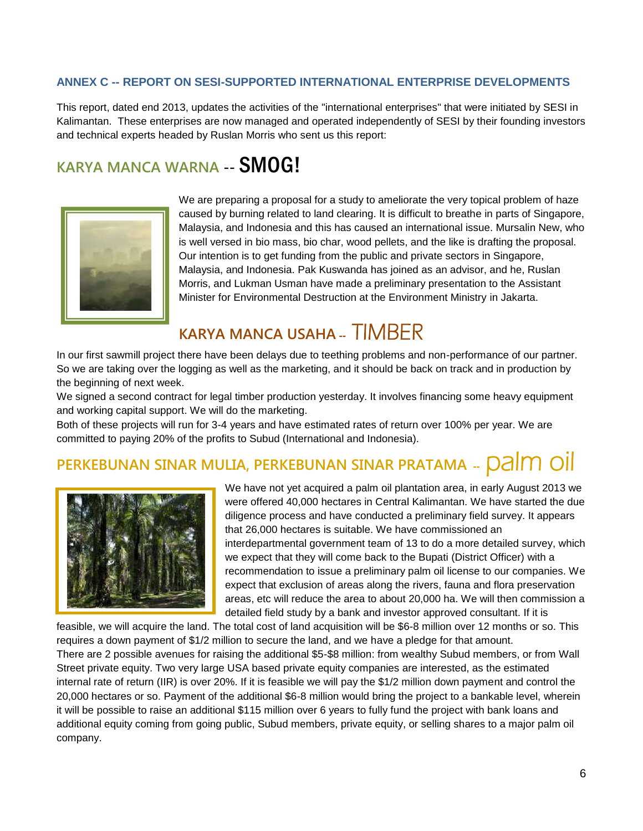# **ANNEX C -- REPORT ON SESI-SUPPORTED INTERNATIONAL ENTERPRISE DEVELOPMENTS**

This report, dated end 2013, updates the activities of the "international enterprises" that were initiated by SESI in Kalimantan. These enterprises are now managed and operated independently of SESI by their founding investors and technical experts headed by Ruslan Morris who sent us this report:

# **KARYA MANCA WARNA --** SMOG!



We are preparing a proposal for a study to ameliorate the very topical problem of haze caused by burning related to land clearing. It is difficult to breathe in parts of Singapore, Malaysia, and Indonesia and this has caused an international issue. Mursalin New, who is well versed in bio mass, bio char, wood pellets, and the like is drafting the proposal. Our intention is to get funding from the public and private sectors in Singapore, Malaysia, and Indonesia. Pak Kuswanda has joined as an advisor, and he, Ruslan Morris, and Lukman Usman have made a preliminary presentation to the Assistant Minister for Environmental Destruction at the Environment Ministry in Jakarta.

# **KARYA MANCA USAHA --** TIMBER

In our first sawmill project there have been delays due to teething problems and non-performance of our partner. So we are taking over the logging as well as the marketing, and it should be back on track and in production by the beginning of next week.

We signed a second contract for legal timber production yesterday. It involves financing some heavy equipment and working capital support. We will do the marketing.

Both of these projects will run for 3-4 years and have estimated rates of return over 100% per year. We are committed to paying 20% of the profits to Subud (International and Indonesia).

# **PERKEBUNAN SINAR MULIA, PERKEBUNAN SINAR PRATAMA --** palm oil



We have not yet acquired a palm oil plantation area, in early August 2013 we were offered 40,000 hectares in Central Kalimantan. We have started the due diligence process and have conducted a preliminary field survey. It appears that 26,000 hectares is suitable. We have commissioned an interdepartmental government team of 13 to do a more detailed survey, which we expect that they will come back to the Bupati (District Officer) with a recommendation to issue a preliminary palm oil license to our companies. We expect that exclusion of areas along the rivers, fauna and flora preservation areas, etc will reduce the area to about 20,000 ha. We will then commission a detailed field study by a bank and investor approved consultant. If it is

feasible, we will acquire the land. The total cost of land acquisition will be \$6-8 million over 12 months or so. This requires a down payment of \$1/2 million to secure the land, and we have a pledge for that amount. There are 2 possible avenues for raising the additional \$5-\$8 million: from wealthy Subud members, or from Wall Street private equity. Two very large USA based private equity companies are interested, as the estimated internal rate of return (IIR) is over 20%. If it is feasible we will pay the \$1/2 million down payment and control the 20,000 hectares or so. Payment of the additional \$6-8 million would bring the project to a bankable level, wherein it will be possible to raise an additional \$115 million over 6 years to fully fund the project with bank loans and additional equity coming from going public, Subud members, private equity, or selling shares to a major palm oil company.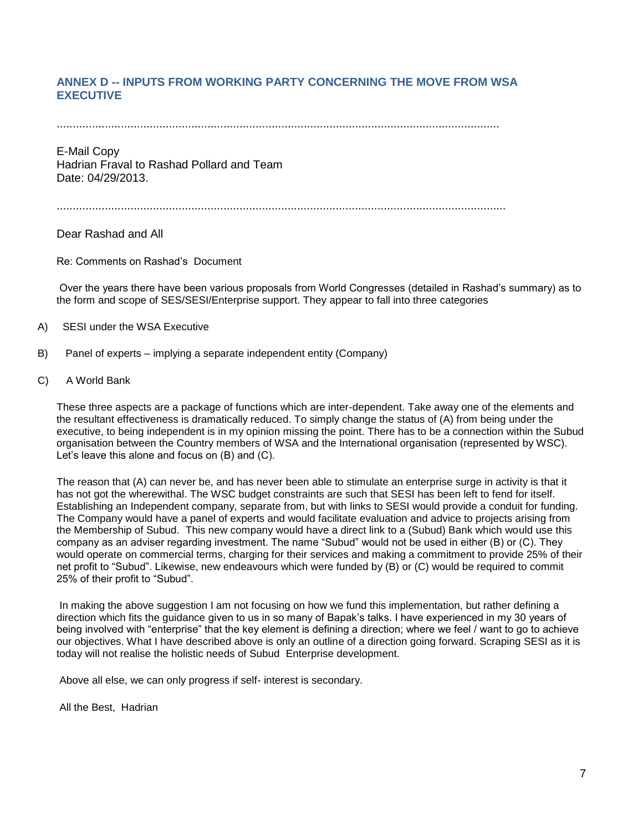# **ANNEX D -- INPUTS FROM WORKING PARTY CONCERNING THE MOVE FROM WSA EXECUTIVE**

..........................................................................................................................................

E-Mail Copy Hadrian Fraval to Rashad Pollard and Team Date: 04/29/2013.

............................................................................................................................................

Dear Rashad and All

Re: Comments on Rashad's Document

Over the years there have been various proposals from World Congresses (detailed in Rashad's summary) as to the form and scope of SES/SESI/Enterprise support. They appear to fall into three categories

- A) SESI under the WSA Executive
- B) Panel of experts implying a separate independent entity (Company)
- C) A World Bank

These three aspects are a package of functions which are inter-dependent. Take away one of the elements and the resultant effectiveness is dramatically reduced. To simply change the status of (A) from being under the executive, to being independent is in my opinion missing the point. There has to be a connection within the Subud organisation between the Country members of WSA and the International organisation (represented by WSC). Let's leave this alone and focus on (B) and (C).

The reason that (A) can never be, and has never been able to stimulate an enterprise surge in activity is that it has not got the wherewithal. The WSC budget constraints are such that SESI has been left to fend for itself. Establishing an Independent company, separate from, but with links to SESI would provide a conduit for funding. The Company would have a panel of experts and would facilitate evaluation and advice to projects arising from the Membership of Subud. This new company would have a direct link to a (Subud) Bank which would use this company as an adviser regarding investment. The name "Subud" would not be used in either (B) or (C). They would operate on commercial terms, charging for their services and making a commitment to provide 25% of their net profit to "Subud". Likewise, new endeavours which were funded by (B) or (C) would be required to commit 25% of their profit to "Subud".

In making the above suggestion I am not focusing on how we fund this implementation, but rather defining a direction which fits the guidance given to us in so many of Bapak's talks. I have experienced in my 30 years of being involved with "enterprise" that the key element is defining a direction; where we feel / want to go to achieve our objectives. What I have described above is only an outline of a direction going forward. Scraping SESI as it is today will not realise the holistic needs of Subud Enterprise development.

Above all else, we can only progress if self- interest is secondary.

All the Best, Hadrian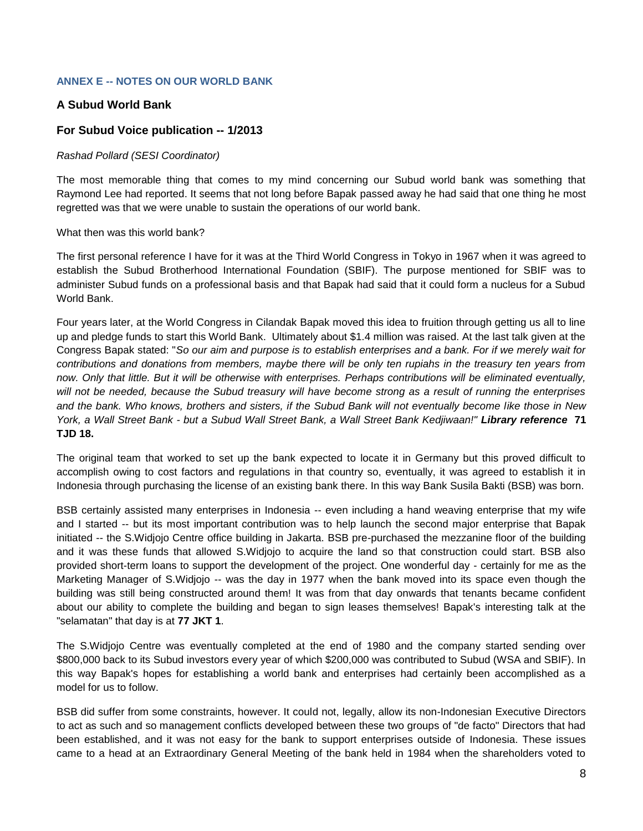# **ANNEX E -- NOTES ON OUR WORLD BANK**

# **A Subud World Bank**

# **For Subud Voice publication -- 1/2013**

#### *Rashad Pollard (SESI Coordinator)*

The most memorable thing that comes to my mind concerning our Subud world bank was something that Raymond Lee had reported. It seems that not long before Bapak passed away he had said that one thing he most regretted was that we were unable to sustain the operations of our world bank.

What then was this world bank?

The first personal reference I have for it was at the Third World Congress in Tokyo in 1967 when it was agreed to establish the Subud Brotherhood International Foundation (SBIF). The purpose mentioned for SBIF was to administer Subud funds on a professional basis and that Bapak had said that it could form a nucleus for a Subud World Bank.

Four years later, at the World Congress in Cilandak Bapak moved this idea to fruition through getting us all to line up and pledge funds to start this World Bank. Ultimately about \$1.4 million was raised. At the last talk given at the Congress Bapak stated: "*So our aim and purpose is to establish enterprises and a bank. For if we merely wait for contributions and donations from members, maybe there will be only ten rupiahs in the treasury ten years from now. Only that little. But it will be otherwise with enterprises. Perhaps contributions will be eliminated eventually, will not be needed, because the Subud treasury will have become strong as a result of running the enterprises and the bank. Who knows, brothers and sisters, if the Subud Bank will not eventually become like those in New York, a Wall Street Bank - but a Subud Wall Street Bank, a Wall Street Bank Kedjiwaan!" Library reference* **71 TJD 18.**

The original team that worked to set up the bank expected to locate it in Germany but this proved difficult to accomplish owing to cost factors and regulations in that country so, eventually, it was agreed to establish it in Indonesia through purchasing the license of an existing bank there. In this way Bank Susila Bakti (BSB) was born.

BSB certainly assisted many enterprises in Indonesia -- even including a hand weaving enterprise that my wife and I started -- but its most important contribution was to help launch the second major enterprise that Bapak initiated -- the S.Widjojo Centre office building in Jakarta. BSB pre-purchased the mezzanine floor of the building and it was these funds that allowed S.Widjojo to acquire the land so that construction could start. BSB also provided short-term loans to support the development of the project. One wonderful day - certainly for me as the Marketing Manager of S. Widjojo -- was the day in 1977 when the bank moved into its space even though the building was still being constructed around them! It was from that day onwards that tenants became confident about our ability to complete the building and began to sign leases themselves! Bapak's interesting talk at the "selamatan" that day is at **77 JKT 1**.

The S.Widjojo Centre was eventually completed at the end of 1980 and the company started sending over \$800,000 back to its Subud investors every year of which \$200,000 was contributed to Subud (WSA and SBIF). In this way Bapak's hopes for establishing a world bank and enterprises had certainly been accomplished as a model for us to follow.

BSB did suffer from some constraints, however. It could not, legally, allow its non-Indonesian Executive Directors to act as such and so management conflicts developed between these two groups of "de facto" Directors that had been established, and it was not easy for the bank to support enterprises outside of Indonesia. These issues came to a head at an Extraordinary General Meeting of the bank held in 1984 when the shareholders voted to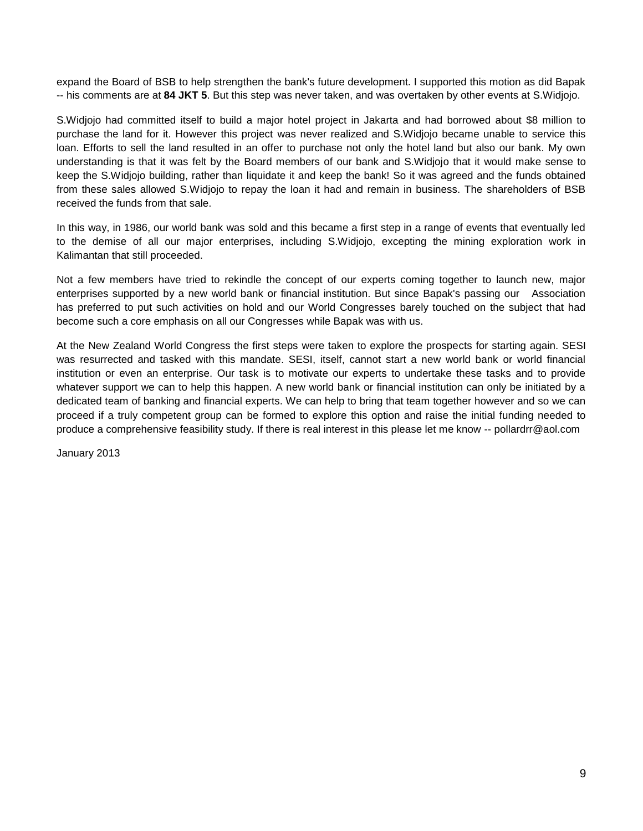expand the Board of BSB to help strengthen the bank's future development. I supported this motion as did Bapak -- his comments are at **84 JKT 5**. But this step was never taken, and was overtaken by other events at S.Widjojo.

S.Widjojo had committed itself to build a major hotel project in Jakarta and had borrowed about \$8 million to purchase the land for it. However this project was never realized and S.Widjojo became unable to service this loan. Efforts to sell the land resulted in an offer to purchase not only the hotel land but also our bank. My own understanding is that it was felt by the Board members of our bank and S.Widjojo that it would make sense to keep the S.Widjojo building, rather than liquidate it and keep the bank! So it was agreed and the funds obtained from these sales allowed S.Widjojo to repay the loan it had and remain in business. The shareholders of BSB received the funds from that sale.

In this way, in 1986, our world bank was sold and this became a first step in a range of events that eventually led to the demise of all our major enterprises, including S.Widjojo, excepting the mining exploration work in Kalimantan that still proceeded.

Not a few members have tried to rekindle the concept of our experts coming together to launch new, major enterprises supported by a new world bank or financial institution. But since Bapak's passing our Association has preferred to put such activities on hold and our World Congresses barely touched on the subject that had become such a core emphasis on all our Congresses while Bapak was with us.

At the New Zealand World Congress the first steps were taken to explore the prospects for starting again. SESI was resurrected and tasked with this mandate. SESI, itself, cannot start a new world bank or world financial institution or even an enterprise. Our task is to motivate our experts to undertake these tasks and to provide whatever support we can to help this happen. A new world bank or financial institution can only be initiated by a dedicated team of banking and financial experts. We can help to bring that team together however and so we can proceed if a truly competent group can be formed to explore this option and raise the initial funding needed to produce a comprehensive feasibility study. If there is real interest in this please let me know -- pollardrr@aol.com

January 2013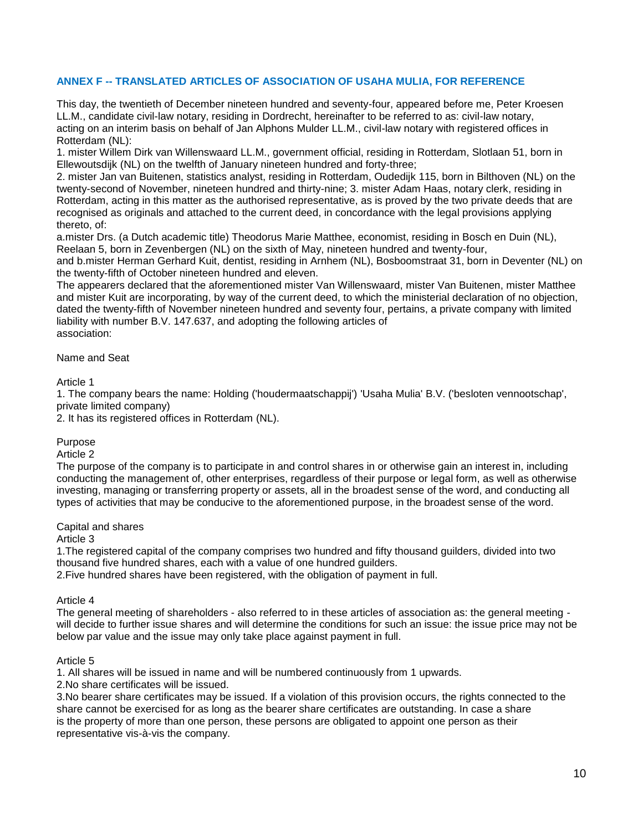# **ANNEX F -- TRANSLATED ARTICLES OF ASSOCIATION OF USAHA MULIA, FOR REFERENCE**

This day, the twentieth of December nineteen hundred and seventy-four, appeared before me, Peter Kroesen LL.M., candidate civil-law notary, residing in Dordrecht, hereinafter to be referred to as: civil-law notary, acting on an interim basis on behalf of Jan Alphons Mulder LL.M., civil-law notary with registered offices in Rotterdam (NL):

1. mister Willem Dirk van Willenswaard LL.M., government official, residing in Rotterdam, Slotlaan 51, born in Ellewoutsdijk (NL) on the twelfth of January nineteen hundred and forty-three;

2. mister Jan van Buitenen, statistics analyst, residing in Rotterdam, Oudedijk 115, born in Bilthoven (NL) on the twenty-second of November, nineteen hundred and thirty-nine; 3. mister Adam Haas, notary clerk, residing in Rotterdam, acting in this matter as the authorised representative, as is proved by the two private deeds that are recognised as originals and attached to the current deed, in concordance with the legal provisions applying thereto, of:

a.mister Drs. (a Dutch academic title) Theodorus Marie Matthee, economist, residing in Bosch en Duin (NL), Reelaan 5, born in Zevenbergen (NL) on the sixth of May, nineteen hundred and twenty-four,

and b.mister Herman Gerhard Kuit, dentist, residing in Arnhem (NL), Bosboomstraat 31, born in Deventer (NL) on the twenty-fifth of October nineteen hundred and eleven.

The appearers declared that the aforementioned mister Van Willenswaard, mister Van Buitenen, mister Matthee and mister Kuit are incorporating, by way of the current deed, to which the ministerial declaration of no objection, dated the twenty-fifth of November nineteen hundred and seventy four, pertains, a private company with limited liability with number B.V. 147.637, and adopting the following articles of association:

#### Name and Seat

Article 1

1. The company bears the name: Holding ('houdermaatschappij') 'Usaha Mulia' B.V. ('besloten vennootschap', private limited company)

2. It has its registered offices in Rotterdam (NL).

#### Purpose

Article 2

The purpose of the company is to participate in and control shares in or otherwise gain an interest in, including conducting the management of, other enterprises, regardless of their purpose or legal form, as well as otherwise investing, managing or transferring property or assets, all in the broadest sense of the word, and conducting all types of activities that may be conducive to the aforementioned purpose, in the broadest sense of the word.

#### Capital and shares

Article 3

1.The registered capital of the company comprises two hundred and fifty thousand guilders, divided into two thousand five hundred shares, each with a value of one hundred guilders.

2.Five hundred shares have been registered, with the obligation of payment in full.

#### Article 4

The general meeting of shareholders - also referred to in these articles of association as: the general meeting will decide to further issue shares and will determine the conditions for such an issue: the issue price may not be below par value and the issue may only take place against payment in full.

#### Article 5

1. All shares will be issued in name and will be numbered continuously from 1 upwards.

2.No share certificates will be issued.

3.No bearer share certificates may be issued. If a violation of this provision occurs, the rights connected to the share cannot be exercised for as long as the bearer share certificates are outstanding. In case a share is the property of more than one person, these persons are obligated to appoint one person as their representative vis-à-vis the company.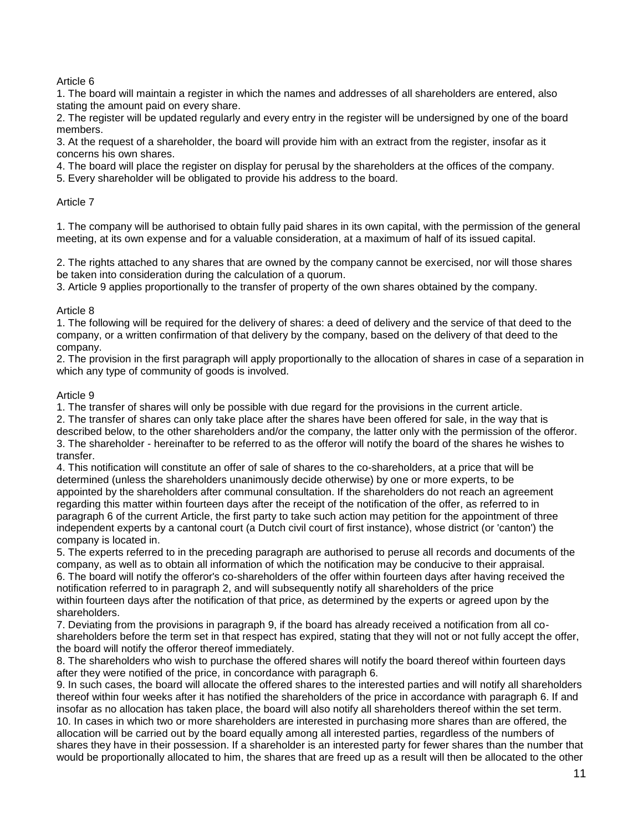# Article 6

1. The board will maintain a register in which the names and addresses of all shareholders are entered, also stating the amount paid on every share.

2. The register will be updated regularly and every entry in the register will be undersigned by one of the board members.

3. At the request of a shareholder, the board will provide him with an extract from the register, insofar as it concerns his own shares.

4. The board will place the register on display for perusal by the shareholders at the offices of the company.

5. Every shareholder will be obligated to provide his address to the board.

# Article 7

1. The company will be authorised to obtain fully paid shares in its own capital, with the permission of the general meeting, at its own expense and for a valuable consideration, at a maximum of half of its issued capital.

2. The rights attached to any shares that are owned by the company cannot be exercised, nor will those shares be taken into consideration during the calculation of a quorum.

3. Article 9 applies proportionally to the transfer of property of the own shares obtained by the company.

# Article 8

1. The following will be required for the delivery of shares: a deed of delivery and the service of that deed to the company, or a written confirmation of that delivery by the company, based on the delivery of that deed to the company.

2. The provision in the first paragraph will apply proportionally to the allocation of shares in case of a separation in which any type of community of goods is involved.

# Article 9

1. The transfer of shares will only be possible with due regard for the provisions in the current article.

2. The transfer of shares can only take place after the shares have been offered for sale, in the way that is described below, to the other shareholders and/or the company, the latter only with the permission of the offeror. 3. The shareholder - hereinafter to be referred to as the offeror will notify the board of the shares he wishes to transfer.

4. This notification will constitute an offer of sale of shares to the co-shareholders, at a price that will be determined (unless the shareholders unanimously decide otherwise) by one or more experts, to be appointed by the shareholders after communal consultation. If the shareholders do not reach an agreement regarding this matter within fourteen days after the receipt of the notification of the offer, as referred to in paragraph 6 of the current Article, the first party to take such action may petition for the appointment of three independent experts by a cantonal court (a Dutch civil court of first instance), whose district (or 'canton') the company is located in.

5. The experts referred to in the preceding paragraph are authorised to peruse all records and documents of the company, as well as to obtain all information of which the notification may be conducive to their appraisal.

6. The board will notify the offeror's co-shareholders of the offer within fourteen days after having received the notification referred to in paragraph 2, and will subsequently notify all shareholders of the price within fourteen days after the notification of that price, as determined by the experts or agreed upon by the shareholders.

7. Deviating from the provisions in paragraph 9, if the board has already received a notification from all coshareholders before the term set in that respect has expired, stating that they will not or not fully accept the offer, the board will notify the offeror thereof immediately.

8. The shareholders who wish to purchase the offered shares will notify the board thereof within fourteen days after they were notified of the price, in concordance with paragraph 6.

9. In such cases, the board will allocate the offered shares to the interested parties and will notify all shareholders thereof within four weeks after it has notified the shareholders of the price in accordance with paragraph 6. If and insofar as no allocation has taken place, the board will also notify all shareholders thereof within the set term. 10. In cases in which two or more shareholders are interested in purchasing more shares than are offered, the allocation will be carried out by the board equally among all interested parties, regardless of the numbers of shares they have in their possession. If a shareholder is an interested party for fewer shares than the number that would be proportionally allocated to him, the shares that are freed up as a result will then be allocated to the other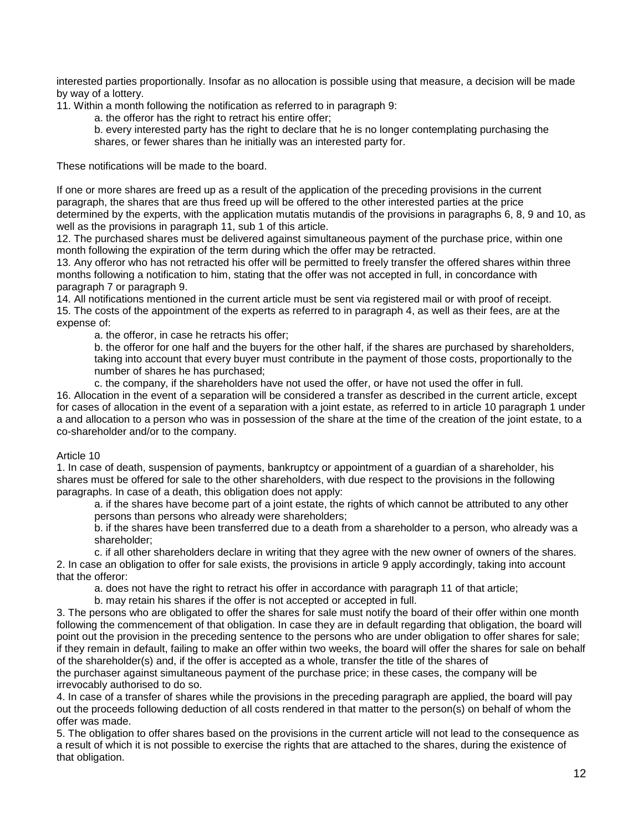interested parties proportionally. Insofar as no allocation is possible using that measure, a decision will be made by way of a lottery.

11. Within a month following the notification as referred to in paragraph 9:

- a. the offeror has the right to retract his entire offer;
- b. every interested party has the right to declare that he is no longer contemplating purchasing the shares, or fewer shares than he initially was an interested party for.

These notifications will be made to the board.

If one or more shares are freed up as a result of the application of the preceding provisions in the current paragraph, the shares that are thus freed up will be offered to the other interested parties at the price determined by the experts, with the application mutatis mutandis of the provisions in paragraphs 6, 8, 9 and 10, as well as the provisions in paragraph 11, sub 1 of this article.

12. The purchased shares must be delivered against simultaneous payment of the purchase price, within one month following the expiration of the term during which the offer may be retracted.

13. Any offeror who has not retracted his offer will be permitted to freely transfer the offered shares within three months following a notification to him, stating that the offer was not accepted in full, in concordance with paragraph 7 or paragraph 9.

14. All notifications mentioned in the current article must be sent via registered mail or with proof of receipt. 15. The costs of the appointment of the experts as referred to in paragraph 4, as well as their fees, are at the expense of:

a. the offeror, in case he retracts his offer;

b. the offeror for one half and the buyers for the other half, if the shares are purchased by shareholders, taking into account that every buyer must contribute in the payment of those costs, proportionally to the number of shares he has purchased;

c. the company, if the shareholders have not used the offer, or have not used the offer in full. 16. Allocation in the event of a separation will be considered a transfer as described in the current article, except for cases of allocation in the event of a separation with a joint estate, as referred to in article 10 paragraph 1 under a and allocation to a person who was in possession of the share at the time of the creation of the joint estate, to a co-shareholder and/or to the company.

#### Article 10

1. In case of death, suspension of payments, bankruptcy or appointment of a guardian of a shareholder, his shares must be offered for sale to the other shareholders, with due respect to the provisions in the following paragraphs. In case of a death, this obligation does not apply:

a. if the shares have become part of a joint estate, the rights of which cannot be attributed to any other persons than persons who already were shareholders;

b. if the shares have been transferred due to a death from a shareholder to a person, who already was a shareholder;

c. if all other shareholders declare in writing that they agree with the new owner of owners of the shares. 2. In case an obligation to offer for sale exists, the provisions in article 9 apply accordingly, taking into account that the offeror:

a. does not have the right to retract his offer in accordance with paragraph 11 of that article;

b. may retain his shares if the offer is not accepted or accepted in full.

3. The persons who are obligated to offer the shares for sale must notify the board of their offer within one month following the commencement of that obligation. In case they are in default regarding that obligation, the board will point out the provision in the preceding sentence to the persons who are under obligation to offer shares for sale; if they remain in default, failing to make an offer within two weeks, the board will offer the shares for sale on behalf of the shareholder(s) and, if the offer is accepted as a whole, transfer the title of the shares of

the purchaser against simultaneous payment of the purchase price; in these cases, the company will be irrevocably authorised to do so.

4. In case of a transfer of shares while the provisions in the preceding paragraph are applied, the board will pay out the proceeds following deduction of all costs rendered in that matter to the person(s) on behalf of whom the offer was made.

5. The obligation to offer shares based on the provisions in the current article will not lead to the consequence as a result of which it is not possible to exercise the rights that are attached to the shares, during the existence of that obligation.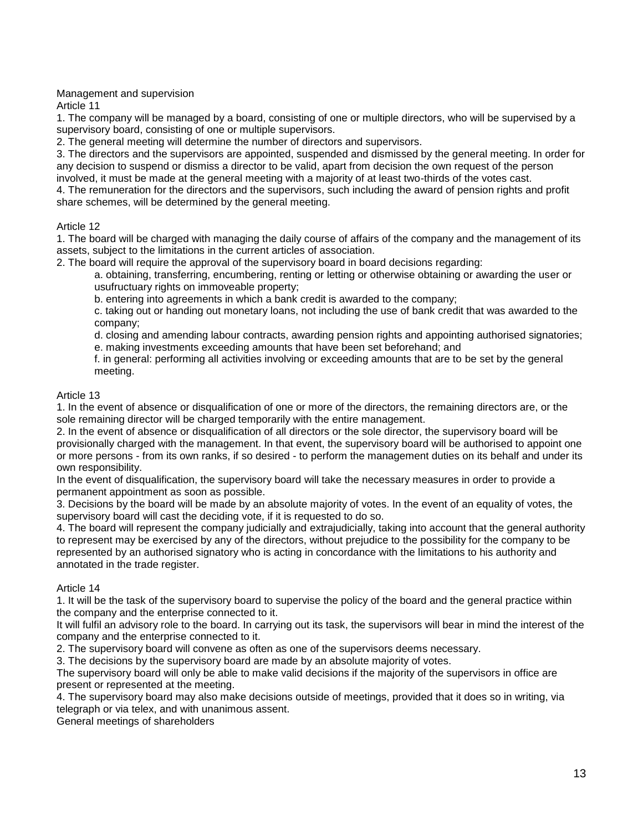# Management and supervision

Article 11

1. The company will be managed by a board, consisting of one or multiple directors, who will be supervised by a supervisory board, consisting of one or multiple supervisors.

2. The general meeting will determine the number of directors and supervisors.

3. The directors and the supervisors are appointed, suspended and dismissed by the general meeting. In order for any decision to suspend or dismiss a director to be valid, apart from decision the own request of the person involved, it must be made at the general meeting with a majority of at least two-thirds of the votes cast.

4. The remuneration for the directors and the supervisors, such including the award of pension rights and profit share schemes, will be determined by the general meeting.

# Article 12

1. The board will be charged with managing the daily course of affairs of the company and the management of its assets, subject to the limitations in the current articles of association.

2. The board will require the approval of the supervisory board in board decisions regarding:

a. obtaining, transferring, encumbering, renting or letting or otherwise obtaining or awarding the user or usufructuary rights on immoveable property;

b. entering into agreements in which a bank credit is awarded to the company;

c. taking out or handing out monetary loans, not including the use of bank credit that was awarded to the company;

d. closing and amending labour contracts, awarding pension rights and appointing authorised signatories;

e. making investments exceeding amounts that have been set beforehand; and

f. in general: performing all activities involving or exceeding amounts that are to be set by the general meeting.

# Article 13

1. In the event of absence or disqualification of one or more of the directors, the remaining directors are, or the sole remaining director will be charged temporarily with the entire management.

2. In the event of absence or disqualification of all directors or the sole director, the supervisory board will be provisionally charged with the management. In that event, the supervisory board will be authorised to appoint one or more persons - from its own ranks, if so desired - to perform the management duties on its behalf and under its own responsibility.

In the event of disqualification, the supervisory board will take the necessary measures in order to provide a permanent appointment as soon as possible.

3. Decisions by the board will be made by an absolute majority of votes. In the event of an equality of votes, the supervisory board will cast the deciding vote, if it is requested to do so.

4. The board will represent the company judicially and extrajudicially, taking into account that the general authority to represent may be exercised by any of the directors, without prejudice to the possibility for the company to be represented by an authorised signatory who is acting in concordance with the limitations to his authority and annotated in the trade register.

# Article 14

1. It will be the task of the supervisory board to supervise the policy of the board and the general practice within the company and the enterprise connected to it.

It will fulfil an advisory role to the board. In carrying out its task, the supervisors will bear in mind the interest of the company and the enterprise connected to it.

2. The supervisory board will convene as often as one of the supervisors deems necessary.

3. The decisions by the supervisory board are made by an absolute majority of votes.

The supervisory board will only be able to make valid decisions if the majority of the supervisors in office are present or represented at the meeting.

4. The supervisory board may also make decisions outside of meetings, provided that it does so in writing, via telegraph or via telex, and with unanimous assent.

General meetings of shareholders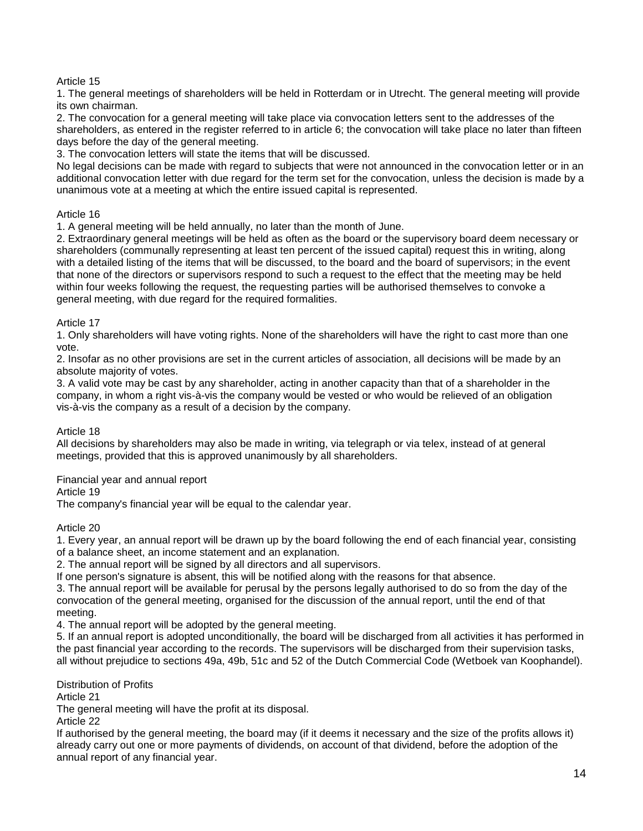# Article 15

1. The general meetings of shareholders will be held in Rotterdam or in Utrecht. The general meeting will provide its own chairman.

2. The convocation for a general meeting will take place via convocation letters sent to the addresses of the shareholders, as entered in the register referred to in article 6; the convocation will take place no later than fifteen days before the day of the general meeting.

3. The convocation letters will state the items that will be discussed.

No legal decisions can be made with regard to subjects that were not announced in the convocation letter or in an additional convocation letter with due regard for the term set for the convocation, unless the decision is made by a unanimous vote at a meeting at which the entire issued capital is represented.

# Article 16

1. A general meeting will be held annually, no later than the month of June.

2. Extraordinary general meetings will be held as often as the board or the supervisory board deem necessary or shareholders (communally representing at least ten percent of the issued capital) request this in writing, along with a detailed listing of the items that will be discussed, to the board and the board of supervisors; in the event that none of the directors or supervisors respond to such a request to the effect that the meeting may be held within four weeks following the request, the requesting parties will be authorised themselves to convoke a general meeting, with due regard for the required formalities.

# Article 17

1. Only shareholders will have voting rights. None of the shareholders will have the right to cast more than one vote.

2. Insofar as no other provisions are set in the current articles of association, all decisions will be made by an absolute majority of votes.

3. A valid vote may be cast by any shareholder, acting in another capacity than that of a shareholder in the company, in whom a right vis-à-vis the company would be vested or who would be relieved of an obligation vis-à-vis the company as a result of a decision by the company.

# Article 18

All decisions by shareholders may also be made in writing, via telegraph or via telex, instead of at general meetings, provided that this is approved unanimously by all shareholders.

# Financial year and annual report

Article 19

The company's financial year will be equal to the calendar year.

# Article 20

1. Every year, an annual report will be drawn up by the board following the end of each financial year, consisting of a balance sheet, an income statement and an explanation.

2. The annual report will be signed by all directors and all supervisors.

If one person's signature is absent, this will be notified along with the reasons for that absence.

3. The annual report will be available for perusal by the persons legally authorised to do so from the day of the convocation of the general meeting, organised for the discussion of the annual report, until the end of that meeting.

4. The annual report will be adopted by the general meeting.

5. If an annual report is adopted unconditionally, the board will be discharged from all activities it has performed in the past financial year according to the records. The supervisors will be discharged from their supervision tasks, all without prejudice to sections 49a, 49b, 51c and 52 of the Dutch Commercial Code (Wetboek van Koophandel).

Distribution of Profits

Article 21

The general meeting will have the profit at its disposal.

Article 22

If authorised by the general meeting, the board may (if it deems it necessary and the size of the profits allows it) already carry out one or more payments of dividends, on account of that dividend, before the adoption of the annual report of any financial year.